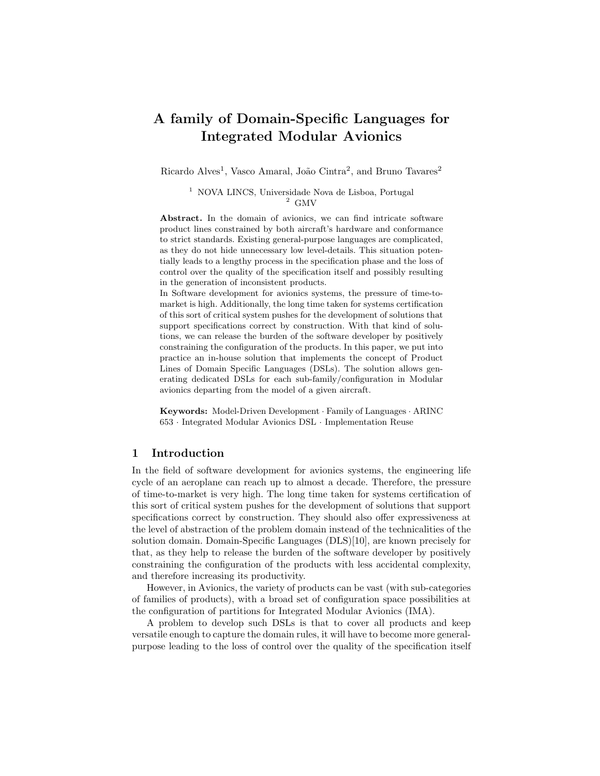# A family of Domain-Specific Languages for Integrated Modular Avionics

Ricardo Alves<sup>1</sup>, Vasco Amaral, João Cintra<sup>2</sup>, and Bruno Tavares<sup>2</sup>

<sup>1</sup> NOVA LINCS, Universidade Nova de Lisboa, Portugal <sup>2</sup> GMV

Abstract. In the domain of avionics, we can find intricate software product lines constrained by both aircraft's hardware and conformance to strict standards. Existing general-purpose languages are complicated, as they do not hide unnecessary low level-details. This situation potentially leads to a lengthy process in the specification phase and the loss of control over the quality of the specification itself and possibly resulting in the generation of inconsistent products.

In Software development for avionics systems, the pressure of time-tomarket is high. Additionally, the long time taken for systems certification of this sort of critical system pushes for the development of solutions that support specifications correct by construction. With that kind of solutions, we can release the burden of the software developer by positively constraining the configuration of the products. In this paper, we put into practice an in-house solution that implements the concept of Product Lines of Domain Specific Languages (DSLs). The solution allows generating dedicated DSLs for each sub-family/configuration in Modular avionics departing from the model of a given aircraft.

Keywords: Model-Driven Development · Family of Languages · ARINC 653 · Integrated Modular Avionics DSL · Implementation Reuse

## 1 Introduction

In the field of software development for avionics systems, the engineering life cycle of an aeroplane can reach up to almost a decade. Therefore, the pressure of time-to-market is very high. The long time taken for systems certification of this sort of critical system pushes for the development of solutions that support specifications correct by construction. They should also offer expressiveness at the level of abstraction of the problem domain instead of the technicalities of the solution domain. Domain-Specific Languages (DLS)[10], are known precisely for that, as they help to release the burden of the software developer by positively constraining the configuration of the products with less accidental complexity, and therefore increasing its productivity.

However, in Avionics, the variety of products can be vast (with sub-categories of families of products), with a broad set of configuration space possibilities at the configuration of partitions for Integrated Modular Avionics (IMA).

A problem to develop such DSLs is that to cover all products and keep versatile enough to capture the domain rules, it will have to become more generalpurpose leading to the loss of control over the quality of the specification itself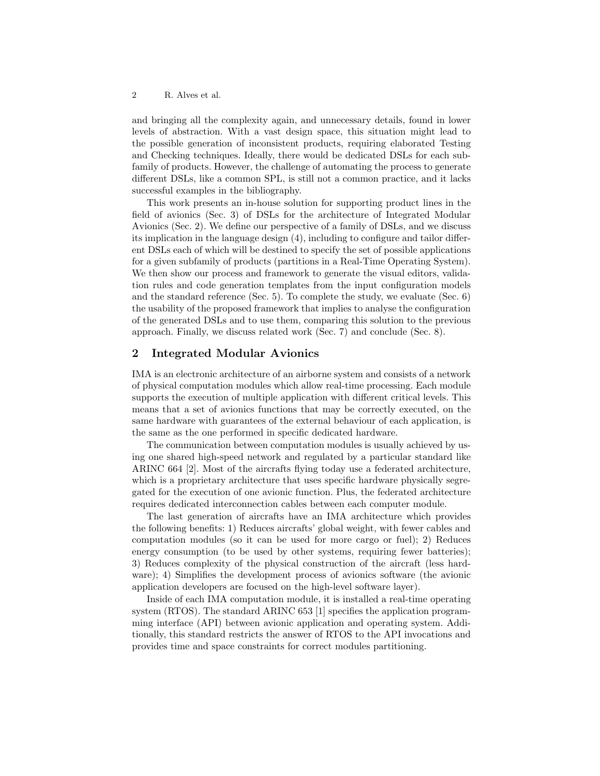and bringing all the complexity again, and unnecessary details, found in lower levels of abstraction. With a vast design space, this situation might lead to the possible generation of inconsistent products, requiring elaborated Testing and Checking techniques. Ideally, there would be dedicated DSLs for each subfamily of products. However, the challenge of automating the process to generate different DSLs, like a common SPL, is still not a common practice, and it lacks successful examples in the bibliography.

This work presents an in-house solution for supporting product lines in the field of avionics (Sec. 3) of DSLs for the architecture of Integrated Modular Avionics (Sec. 2). We define our perspective of a family of DSLs, and we discuss its implication in the language design (4), including to configure and tailor different DSLs each of which will be destined to specify the set of possible applications for a given subfamily of products (partitions in a Real-Time Operating System). We then show our process and framework to generate the visual editors, validation rules and code generation templates from the input configuration models and the standard reference (Sec. 5). To complete the study, we evaluate (Sec. 6) the usability of the proposed framework that implies to analyse the configuration of the generated DSLs and to use them, comparing this solution to the previous approach. Finally, we discuss related work (Sec. 7) and conclude (Sec. 8).

## 2 Integrated Modular Avionics

IMA is an electronic architecture of an airborne system and consists of a network of physical computation modules which allow real-time processing. Each module supports the execution of multiple application with different critical levels. This means that a set of avionics functions that may be correctly executed, on the same hardware with guarantees of the external behaviour of each application, is the same as the one performed in specific dedicated hardware.

The communication between computation modules is usually achieved by using one shared high-speed network and regulated by a particular standard like ARINC 664 [2]. Most of the aircrafts flying today use a federated architecture, which is a proprietary architecture that uses specific hardware physically segregated for the execution of one avionic function. Plus, the federated architecture requires dedicated interconnection cables between each computer module.

The last generation of aircrafts have an IMA architecture which provides the following benefits: 1) Reduces aircrafts' global weight, with fewer cables and computation modules (so it can be used for more cargo or fuel); 2) Reduces energy consumption (to be used by other systems, requiring fewer batteries); 3) Reduces complexity of the physical construction of the aircraft (less hardware); 4) Simplifies the development process of avionics software (the avionic application developers are focused on the high-level software layer).

Inside of each IMA computation module, it is installed a real-time operating system (RTOS). The standard ARINC 653 [1] specifies the application programming interface (API) between avionic application and operating system. Additionally, this standard restricts the answer of RTOS to the API invocations and provides time and space constraints for correct modules partitioning.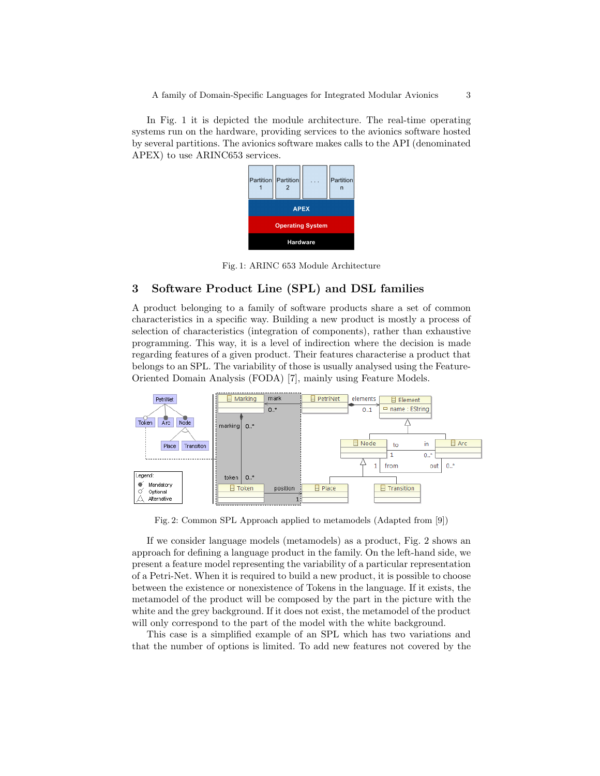In Fig. 1 it is depicted the module architecture. The real-time operating systems run on the hardware, providing services to the avionics software hosted by several partitions. The avionics software makes calls to the API (denominated APEX) to use ARINC653 services.



Fig. 1: ARINC 653 Module Architecture

## 3 Software Product Line (SPL) and DSL families

A product belonging to a family of software products share a set of common characteristics in a specific way. Building a new product is mostly a process of selection of characteristics (integration of components), rather than exhaustive programming. This way, it is a level of indirection where the decision is made regarding features of a given product. Their features characterise a product that belongs to an SPL. The variability of those is usually analysed using the Feature-Oriented Domain Analysis (FODA) [7], mainly using Feature Models.



Fig. 2: Common SPL Approach applied to metamodels (Adapted from [9])

If we consider language models (metamodels) as a product, Fig. 2 shows an approach for defining a language product in the family. On the left-hand side, we present a feature model representing the variability of a particular representation of a Petri-Net. When it is required to build a new product, it is possible to choose between the existence or nonexistence of Tokens in the language. If it exists, the metamodel of the product will be composed by the part in the picture with the white and the grey background. If it does not exist, the metamodel of the product will only correspond to the part of the model with the white background.

This case is a simplified example of an SPL which has two variations and that the number of options is limited. To add new features not covered by the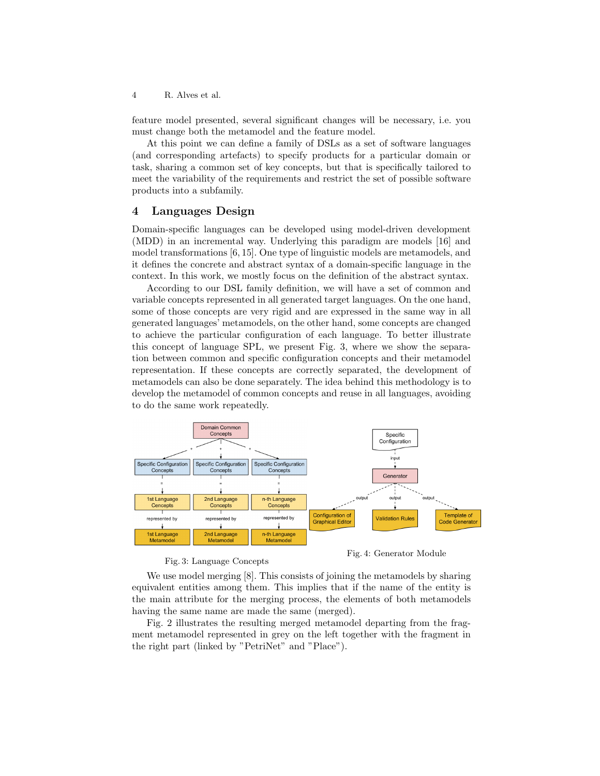feature model presented, several significant changes will be necessary, i.e. you must change both the metamodel and the feature model.

At this point we can define a family of DSLs as a set of software languages (and corresponding artefacts) to specify products for a particular domain or task, sharing a common set of key concepts, but that is specifically tailored to meet the variability of the requirements and restrict the set of possible software products into a subfamily.

## 4 Languages Design

Domain-specific languages can be developed using model-driven development (MDD) in an incremental way. Underlying this paradigm are models [16] and model transformations [6, 15]. One type of linguistic models are metamodels, and it defines the concrete and abstract syntax of a domain-specific language in the context. In this work, we mostly focus on the definition of the abstract syntax.

According to our DSL family definition, we will have a set of common and variable concepts represented in all generated target languages. On the one hand, some of those concepts are very rigid and are expressed in the same way in all generated languages' metamodels, on the other hand, some concepts are changed to achieve the particular configuration of each language. To better illustrate this concept of language SPL, we present Fig. 3, where we show the separation between common and specific configuration concepts and their metamodel representation. If these concepts are correctly separated, the development of metamodels can also be done separately. The idea behind this methodology is to develop the metamodel of common concepts and reuse in all languages, avoiding to do the same work repeatedly.





Fig. 4: Generator Module

We use model merging [8]. This consists of joining the metamodels by sharing equivalent entities among them. This implies that if the name of the entity is the main attribute for the merging process, the elements of both metamodels having the same name are made the same (merged).

Fig. 2 illustrates the resulting merged metamodel departing from the fragment metamodel represented in grey on the left together with the fragment in the right part (linked by "PetriNet" and "Place").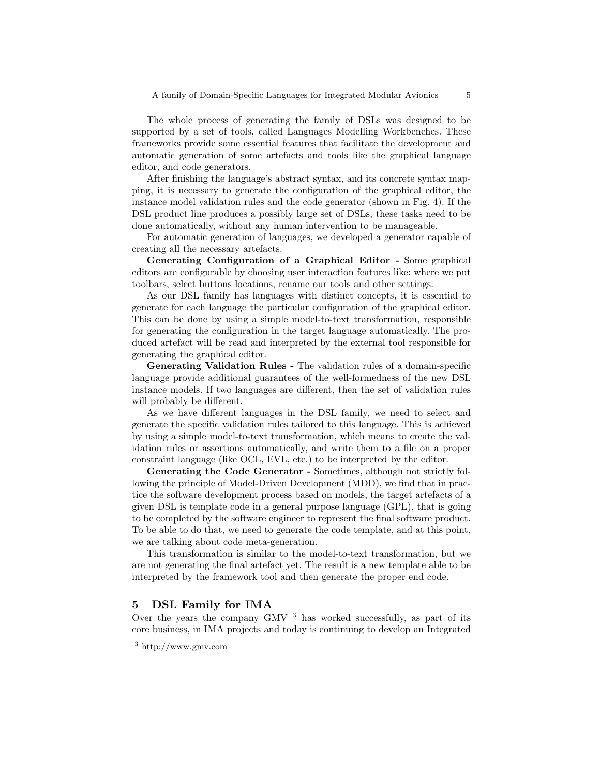The whole process of generating the family of DSLs was designed to be supported by a set of tools, called Languages Modelling Workbenches. These frameworks provide some essential features that facilitate the development and automatic generation of some artefacts and tools like the graphical language editor, and code generators.

After finishing the language's abstract syntax, and its concrete syntax mapping, it is necessary to generate the configuration of the graphical editor, the instance model validation rules and the code generator (shown in Fig. 4). If the DSL product line produces a possibly large set of DSLs, these tasks need to be done automatically, without any human intervention to be manageable.

For automatic generation of languages, we developed a generator capable of creating all the necessary artefacts.

Generating Configuration of a Graphical Editor - Some graphical editors are configurable by choosing user interaction features like: where we put toolbars, select buttons locations, rename our tools and other settings.

As our DSL family has languages with distinct concepts, it is essential to generate for each language the particular configuration of the graphical editor. This can be done by using a simple model-to-text transformation, responsible for generating the configuration in the target language automatically. The produced artefact will be read and interpreted by the external tool responsible for generating the graphical editor.

Generating Validation Rules - The validation rules of a domain-specific language provide additional guarantees of the well-formedness of the new DSL instance models. If two languages are different, then the set of validation rules will probably be different.

As we have different languages in the DSL family, we need to select and generate the specific validation rules tailored to this language. This is achieved by using a simple model-to-text transformation, which means to create the validation rules or assertions automatically, and write them to a file on a proper constraint language (like OCL, EVL, etc.) to be interpreted by the editor.

Generating the Code Generator - Sometimes, although not strictly following the principle of Model-Driven Development (MDD), we find that in practice the software development process based on models, the target artefacts of a given DSL is template code in a general purpose language (GPL), that is going to be completed by the software engineer to represent the final software product. To be able to do that, we need to generate the code template, and at this point, we are talking about code meta-generation.

This transformation is similar to the model-to-text transformation, but we are not generating the final artefact yet. The result is a new template able to be interpreted by the framework tool and then generate the proper end code.

## 5 DSL Family for IMA

Over the years the company  $\frac{GMV}{3}$  has worked successfully, as part of its core business, in IMA projects and today is continuing to develop an Integrated

 $\frac{3 \text{ http://www.gmv.com}}{}$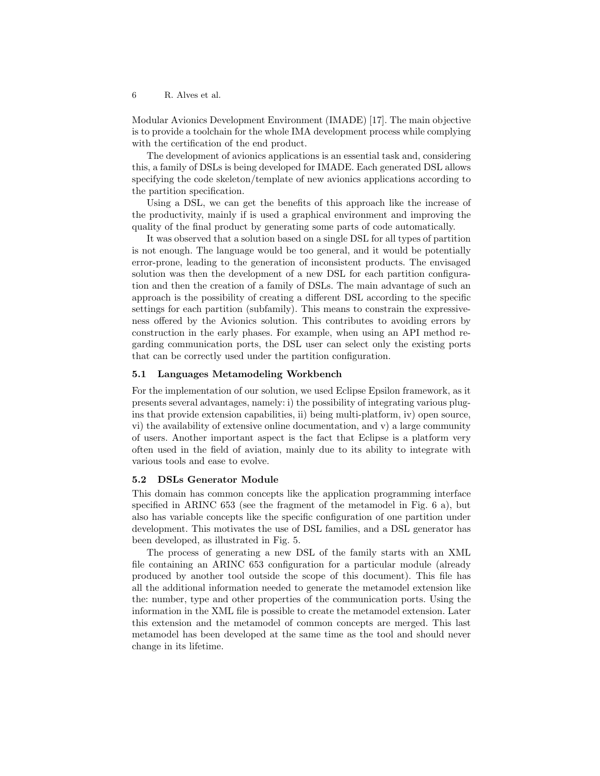Modular Avionics Development Environment (IMADE) [17]. The main objective is to provide a toolchain for the whole IMA development process while complying with the certification of the end product.

The development of avionics applications is an essential task and, considering this, a family of DSLs is being developed for IMADE. Each generated DSL allows specifying the code skeleton/template of new avionics applications according to the partition specification.

Using a DSL, we can get the benefits of this approach like the increase of the productivity, mainly if is used a graphical environment and improving the quality of the final product by generating some parts of code automatically.

It was observed that a solution based on a single DSL for all types of partition is not enough. The language would be too general, and it would be potentially error-prone, leading to the generation of inconsistent products. The envisaged solution was then the development of a new DSL for each partition configuration and then the creation of a family of DSLs. The main advantage of such an approach is the possibility of creating a different DSL according to the specific settings for each partition (subfamily). This means to constrain the expressiveness offered by the Avionics solution. This contributes to avoiding errors by construction in the early phases. For example, when using an API method regarding communication ports, the DSL user can select only the existing ports that can be correctly used under the partition configuration.

#### 5.1 Languages Metamodeling Workbench

For the implementation of our solution, we used Eclipse Epsilon framework, as it presents several advantages, namely: i) the possibility of integrating various plugins that provide extension capabilities, ii) being multi-platform, iv) open source, vi) the availability of extensive online documentation, and v) a large community of users. Another important aspect is the fact that Eclipse is a platform very often used in the field of aviation, mainly due to its ability to integrate with various tools and ease to evolve.

#### 5.2 DSLs Generator Module

This domain has common concepts like the application programming interface specified in ARINC 653 (see the fragment of the metamodel in Fig. 6 a), but also has variable concepts like the specific configuration of one partition under development. This motivates the use of DSL families, and a DSL generator has been developed, as illustrated in Fig. 5.

The process of generating a new DSL of the family starts with an XML file containing an ARINC 653 configuration for a particular module (already produced by another tool outside the scope of this document). This file has all the additional information needed to generate the metamodel extension like the: number, type and other properties of the communication ports. Using the information in the XML file is possible to create the metamodel extension. Later this extension and the metamodel of common concepts are merged. This last metamodel has been developed at the same time as the tool and should never change in its lifetime.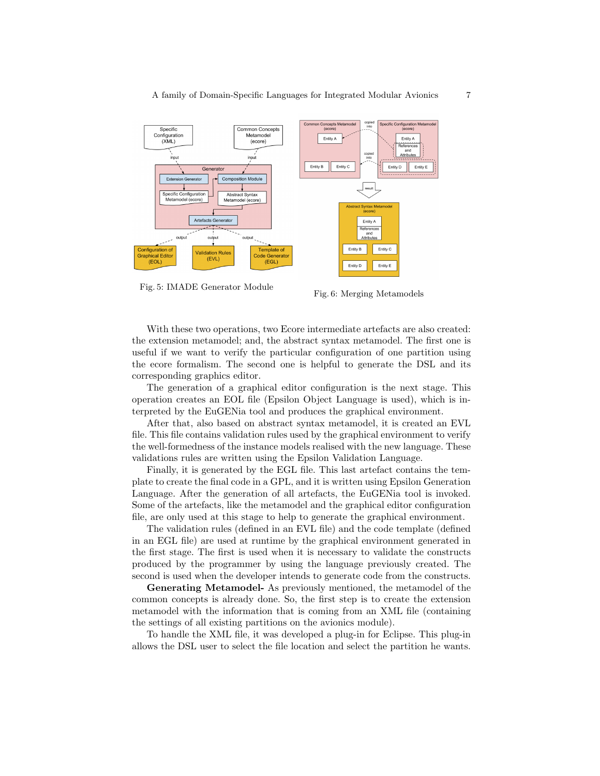



Fig. 5: IMADE Generator Module

Fig. 6: Merging Metamodels

With these two operations, two Ecore intermediate artefacts are also created: the extension metamodel; and, the abstract syntax metamodel. The first one is useful if we want to verify the particular configuration of one partition using the ecore formalism. The second one is helpful to generate the DSL and its corresponding graphics editor.

The generation of a graphical editor configuration is the next stage. This operation creates an EOL file (Epsilon Object Language is used), which is interpreted by the EuGENia tool and produces the graphical environment.

After that, also based on abstract syntax metamodel, it is created an EVL file. This file contains validation rules used by the graphical environment to verify the well-formedness of the instance models realised with the new language. These validations rules are written using the Epsilon Validation Language.

Finally, it is generated by the EGL file. This last artefact contains the template to create the final code in a GPL, and it is written using Epsilon Generation Language. After the generation of all artefacts, the EuGENia tool is invoked. Some of the artefacts, like the metamodel and the graphical editor configuration file, are only used at this stage to help to generate the graphical environment.

The validation rules (defined in an EVL file) and the code template (defined in an EGL file) are used at runtime by the graphical environment generated in the first stage. The first is used when it is necessary to validate the constructs produced by the programmer by using the language previously created. The second is used when the developer intends to generate code from the constructs.

Generating Metamodel- As previously mentioned, the metamodel of the common concepts is already done. So, the first step is to create the extension metamodel with the information that is coming from an XML file (containing the settings of all existing partitions on the avionics module).

To handle the XML file, it was developed a plug-in for Eclipse. This plug-in allows the DSL user to select the file location and select the partition he wants.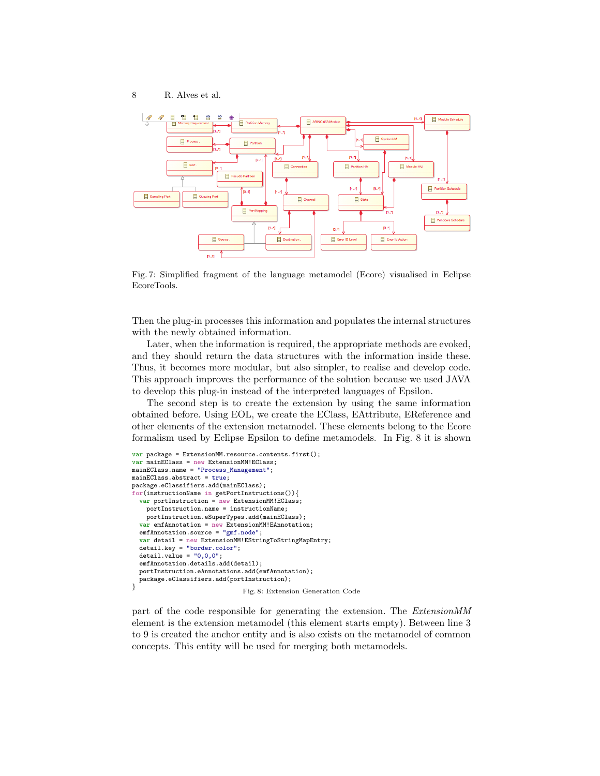

Fig. 7: Simplified fragment of the language metamodel (Ecore) visualised in Eclipse EcoreTools.

Then the plug-in processes this information and populates the internal structures with the newly obtained information.

Later, when the information is required, the appropriate methods are evoked, and they should return the data structures with the information inside these. Thus, it becomes more modular, but also simpler, to realise and develop code. This approach improves the performance of the solution because we used JAVA to develop this plug-in instead of the interpreted languages of Epsilon.

The second step is to create the extension by using the same information obtained before. Using EOL, we create the EClass, EAttribute, EReference and other elements of the extension metamodel. These elements belong to the Ecore formalism used by Eclipse Epsilon to define metamodels. In Fig. 8 it is shown

```
var package = ExtensionMM.resource.contents.first();
var mainEClass = new ExtensionMM!EClass;
mainEClass.name = "Process_Management";
mainEClass.abstract = true;
package.eClassifiers.add(mainEClass);
for(instructionName in getPortInstructions()){
  var portInstruction = new ExtensionMM!EClass;
   portInstruction.name = instructionName;
   portInstruction.eSuperTypes.add(mainEClass);
  var emfAnnotation = new ExtensionMM!EAnnotation;
  emfAnnotation.source = "gmf.node";
  var detail = new ExtensionMM!EStringToStringMapEntry;
 detail.key = "border.color";
  \detail.value = "0,0,0";
  emfAnnotation.details.add(detail);
 portInstruction.eAnnotations.add(emfAnnotation);
 package.eClassifiers.add(portInstruction);
}
                               Fig. 8: Extension Generation Code
```
part of the code responsible for generating the extension. The ExtensionMM element is the extension metamodel (this element starts empty). Between line 3 to 9 is created the anchor entity and is also exists on the metamodel of common concepts. This entity will be used for merging both metamodels.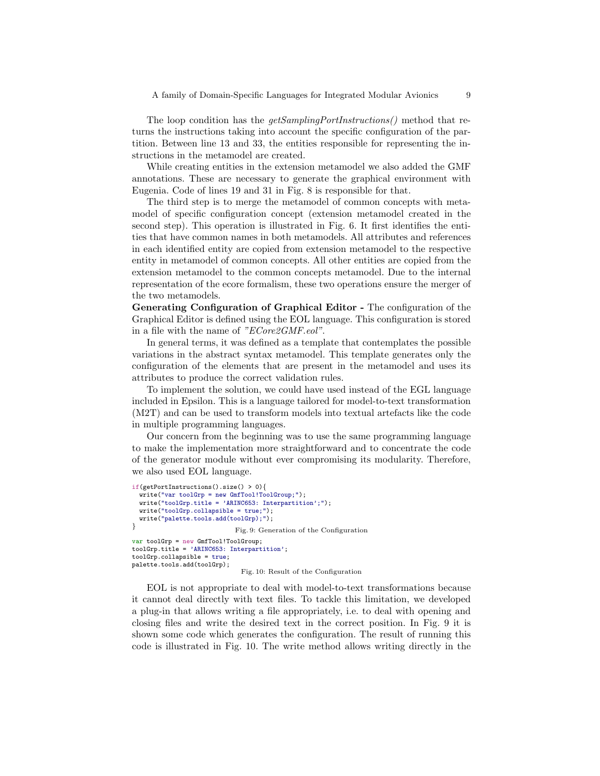The loop condition has the getSamplingPortInstructions() method that returns the instructions taking into account the specific configuration of the partition. Between line 13 and 33, the entities responsible for representing the instructions in the metamodel are created.

While creating entities in the extension metamodel we also added the GMF annotations. These are necessary to generate the graphical environment with Eugenia. Code of lines 19 and 31 in Fig. 8 is responsible for that.

The third step is to merge the metamodel of common concepts with metamodel of specific configuration concept (extension metamodel created in the second step). This operation is illustrated in Fig. 6. It first identifies the entities that have common names in both metamodels. All attributes and references in each identified entity are copied from extension metamodel to the respective entity in metamodel of common concepts. All other entities are copied from the extension metamodel to the common concepts metamodel. Due to the internal representation of the ecore formalism, these two operations ensure the merger of the two metamodels.

Generating Configuration of Graphical Editor - The configuration of the Graphical Editor is defined using the EOL language. This configuration is stored in a file with the name of "ECore2GMF.eol".

In general terms, it was defined as a template that contemplates the possible variations in the abstract syntax metamodel. This template generates only the configuration of the elements that are present in the metamodel and uses its attributes to produce the correct validation rules.

To implement the solution, we could have used instead of the EGL language included in Epsilon. This is a language tailored for model-to-text transformation (M2T) and can be used to transform models into textual artefacts like the code in multiple programming languages.

Our concern from the beginning was to use the same programming language to make the implementation more straightforward and to concentrate the code of the generator module without ever compromising its modularity. Therefore, we also used EOL language.

```
if(getPortInstructions().size() > 0){
 write("var toolGrp = new GmfTool!ToolGroup;");
  write("toolGrp.title = 'ARINC653: Interpartition';");
 write("toolGrp.collapsible = true;");
 write("palette.tools.add(toolGrp);");
}
                             Fig. 9: Generation of the Configuration
var toolGrp = new GmfTool!ToolGroup;
toolGrp.title = 'ARINC653: Interpartition';
toolGrp.collapsible = true;
palette.tools.add(toolGrp);
                              Fig. 10: Result of the Configuration
```
EOL is not appropriate to deal with model-to-text transformations because it cannot deal directly with text files. To tackle this limitation, we developed a plug-in that allows writing a file appropriately, i.e. to deal with opening and closing files and write the desired text in the correct position. In Fig. 9 it is shown some code which generates the configuration. The result of running this code is illustrated in Fig. 10. The write method allows writing directly in the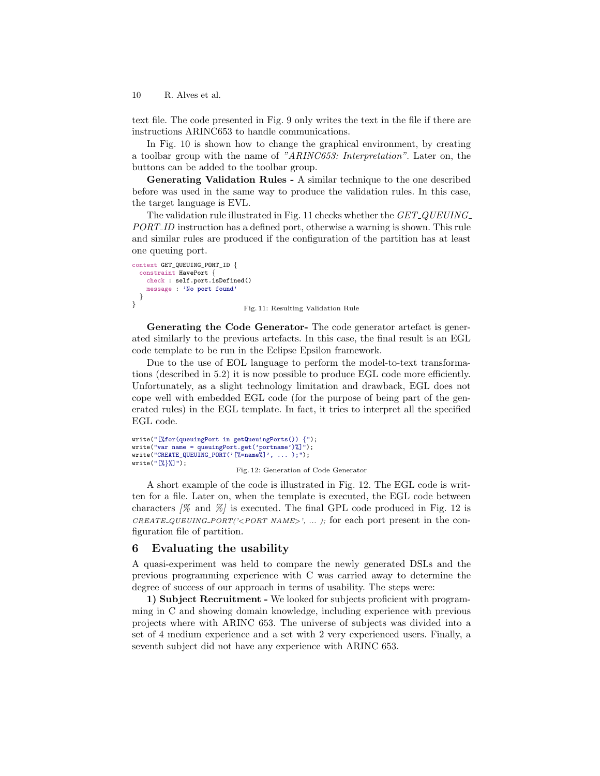text file. The code presented in Fig. 9 only writes the text in the file if there are instructions ARINC653 to handle communications.

In Fig. 10 is shown how to change the graphical environment, by creating a toolbar group with the name of "ARINC653: Interpretation". Later on, the buttons can be added to the toolbar group.

Generating Validation Rules - A similar technique to the one described before was used in the same way to produce the validation rules. In this case, the target language is EVL.

The validation rule illustrated in Fig. 11 checks whether the GET QUEUING PORT ID instruction has a defined port, otherwise a warning is shown. This rule and similar rules are produced if the configuration of the partition has at least one queuing port.

```
context GET_QUEUING_PORT_ID {
 constraint HavePort {
    check : self.port.isDefined()
    message : 'No port found'
  }
}
```
Fig. 11: Resulting Validation Rule

Generating the Code Generator- The code generator artefact is generated similarly to the previous artefacts. In this case, the final result is an EGL code template to be run in the Eclipse Epsilon framework.

Due to the use of EOL language to perform the model-to-text transformations (described in 5.2) it is now possible to produce EGL code more efficiently. Unfortunately, as a slight technology limitation and drawback, EGL does not cope well with embedded EGL code (for the purpose of being part of the generated rules) in the EGL template. In fact, it tries to interpret all the specified EGL code.

```
write("[%for(queuingPort in getQueuingPorts()) {");
write("var name = queuingPort.get('portname')%]");
write("CREATE_QUEUING_PORT('[\%=name\%']', ..., );");
write("[%}%]");
```
Fig. 12: Generation of Code Generator

A short example of the code is illustrated in Fig. 12. The EGL code is written for a file. Later on, when the template is executed, the EGL code between characters  $\%$  and  $\%$  is executed. The final GPL code produced in Fig. 12 is CREATE QUEUING PORT('<PORT NAME>', ... ); for each port present in the configuration file of partition.

## 6 Evaluating the usability

A quasi-experiment was held to compare the newly generated DSLs and the previous programming experience with C was carried away to determine the degree of success of our approach in terms of usability. The steps were:

1) Subject Recruitment - We looked for subjects proficient with programming in C and showing domain knowledge, including experience with previous projects where with ARINC 653. The universe of subjects was divided into a set of 4 medium experience and a set with 2 very experienced users. Finally, a seventh subject did not have any experience with ARINC 653.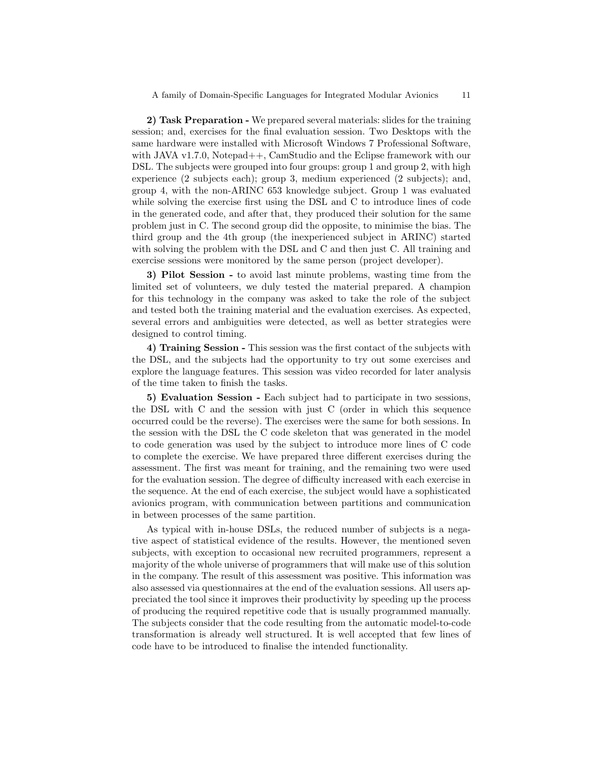2) Task Preparation - We prepared several materials: slides for the training session; and, exercises for the final evaluation session. Two Desktops with the same hardware were installed with Microsoft Windows 7 Professional Software, with JAVA v1.7.0, Notepad + +, CamStudio and the Eclipse framework with our DSL. The subjects were grouped into four groups: group 1 and group 2, with high experience (2 subjects each); group 3, medium experienced (2 subjects); and, group 4, with the non-ARINC 653 knowledge subject. Group 1 was evaluated while solving the exercise first using the DSL and C to introduce lines of code in the generated code, and after that, they produced their solution for the same problem just in C. The second group did the opposite, to minimise the bias. The third group and the 4th group (the inexperienced subject in ARINC) started with solving the problem with the DSL and C and then just C. All training and exercise sessions were monitored by the same person (project developer).

3) Pilot Session - to avoid last minute problems, wasting time from the limited set of volunteers, we duly tested the material prepared. A champion for this technology in the company was asked to take the role of the subject and tested both the training material and the evaluation exercises. As expected, several errors and ambiguities were detected, as well as better strategies were designed to control timing.

4) Training Session - This session was the first contact of the subjects with the DSL, and the subjects had the opportunity to try out some exercises and explore the language features. This session was video recorded for later analysis of the time taken to finish the tasks.

5) Evaluation Session - Each subject had to participate in two sessions, the DSL with C and the session with just C (order in which this sequence occurred could be the reverse). The exercises were the same for both sessions. In the session with the DSL the C code skeleton that was generated in the model to code generation was used by the subject to introduce more lines of C code to complete the exercise. We have prepared three different exercises during the assessment. The first was meant for training, and the remaining two were used for the evaluation session. The degree of difficulty increased with each exercise in the sequence. At the end of each exercise, the subject would have a sophisticated avionics program, with communication between partitions and communication in between processes of the same partition.

As typical with in-house DSLs, the reduced number of subjects is a negative aspect of statistical evidence of the results. However, the mentioned seven subjects, with exception to occasional new recruited programmers, represent a majority of the whole universe of programmers that will make use of this solution in the company. The result of this assessment was positive. This information was also assessed via questionnaires at the end of the evaluation sessions. All users appreciated the tool since it improves their productivity by speeding up the process of producing the required repetitive code that is usually programmed manually. The subjects consider that the code resulting from the automatic model-to-code transformation is already well structured. It is well accepted that few lines of code have to be introduced to finalise the intended functionality.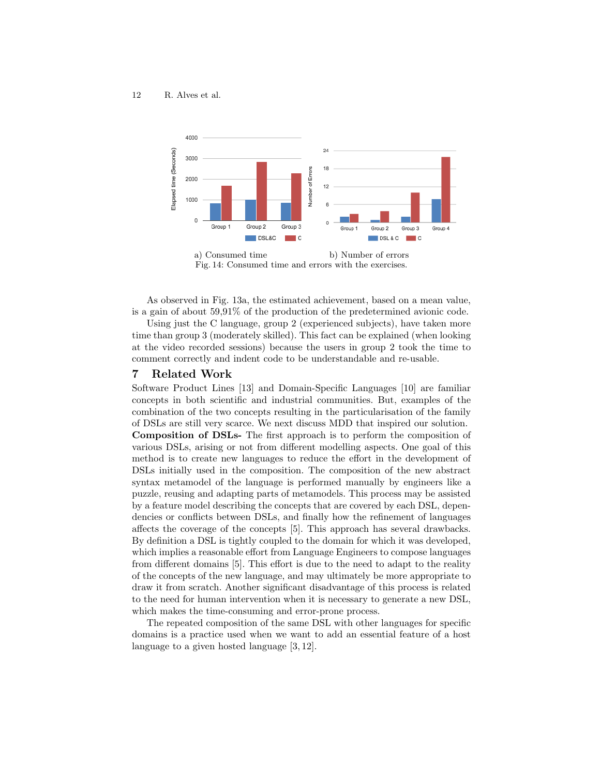

Fig. 14: Consumed time and errors with the exercises.

As observed in Fig. 13a, the estimated achievement, based on a mean value, is a gain of about 59,91% of the production of the predetermined avionic code.

Using just the C language, group 2 (experienced subjects), have taken more time than group 3 (moderately skilled). This fact can be explained (when looking at the video recorded sessions) because the users in group 2 took the time to comment correctly and indent code to be understandable and re-usable.

# 7 Related Work

Software Product Lines [13] and Domain-Specific Languages [10] are familiar concepts in both scientific and industrial communities. But, examples of the combination of the two concepts resulting in the particularisation of the family of DSLs are still very scarce. We next discuss MDD that inspired our solution.

Composition of DSLs- The first approach is to perform the composition of various DSLs, arising or not from different modelling aspects. One goal of this method is to create new languages to reduce the effort in the development of DSLs initially used in the composition. The composition of the new abstract syntax metamodel of the language is performed manually by engineers like a puzzle, reusing and adapting parts of metamodels. This process may be assisted by a feature model describing the concepts that are covered by each DSL, dependencies or conflicts between DSLs, and finally how the refinement of languages affects the coverage of the concepts [5]. This approach has several drawbacks. By definition a DSL is tightly coupled to the domain for which it was developed, which implies a reasonable effort from Language Engineers to compose languages from different domains [5]. This effort is due to the need to adapt to the reality of the concepts of the new language, and may ultimately be more appropriate to draw it from scratch. Another significant disadvantage of this process is related to the need for human intervention when it is necessary to generate a new DSL, which makes the time-consuming and error-prone process.

The repeated composition of the same DSL with other languages for specific domains is a practice used when we want to add an essential feature of a host language to a given hosted language [3, 12].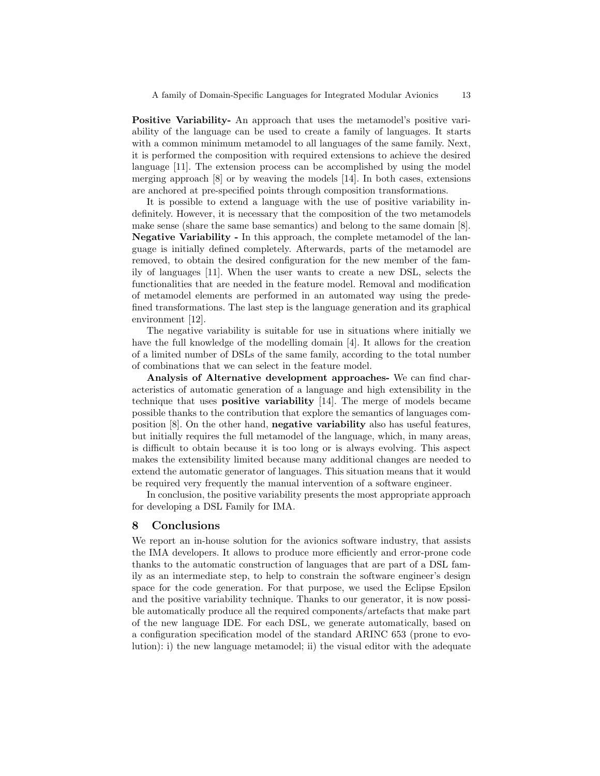Positive Variability- An approach that uses the metamodel's positive variability of the language can be used to create a family of languages. It starts with a common minimum metamodel to all languages of the same family. Next, it is performed the composition with required extensions to achieve the desired language [11]. The extension process can be accomplished by using the model merging approach [8] or by weaving the models [14]. In both cases, extensions are anchored at pre-specified points through composition transformations.

It is possible to extend a language with the use of positive variability indefinitely. However, it is necessary that the composition of the two metamodels make sense (share the same base semantics) and belong to the same domain [8]. Negative Variability - In this approach, the complete metamodel of the language is initially defined completely. Afterwards, parts of the metamodel are removed, to obtain the desired configuration for the new member of the family of languages [11]. When the user wants to create a new DSL, selects the functionalities that are needed in the feature model. Removal and modification of metamodel elements are performed in an automated way using the predefined transformations. The last step is the language generation and its graphical environment [12].

The negative variability is suitable for use in situations where initially we have the full knowledge of the modelling domain [4]. It allows for the creation of a limited number of DSLs of the same family, according to the total number of combinations that we can select in the feature model.

Analysis of Alternative development approaches- We can find characteristics of automatic generation of a language and high extensibility in the technique that uses positive variability [14]. The merge of models became possible thanks to the contribution that explore the semantics of languages composition [8]. On the other hand, negative variability also has useful features, but initially requires the full metamodel of the language, which, in many areas, is difficult to obtain because it is too long or is always evolving. This aspect makes the extensibility limited because many additional changes are needed to extend the automatic generator of languages. This situation means that it would be required very frequently the manual intervention of a software engineer.

In conclusion, the positive variability presents the most appropriate approach for developing a DSL Family for IMA.

## 8 Conclusions

We report an in-house solution for the avionics software industry, that assists the IMA developers. It allows to produce more efficiently and error-prone code thanks to the automatic construction of languages that are part of a DSL family as an intermediate step, to help to constrain the software engineer's design space for the code generation. For that purpose, we used the Eclipse Epsilon and the positive variability technique. Thanks to our generator, it is now possible automatically produce all the required components/artefacts that make part of the new language IDE. For each DSL, we generate automatically, based on a configuration specification model of the standard ARINC 653 (prone to evolution): i) the new language metamodel; ii) the visual editor with the adequate